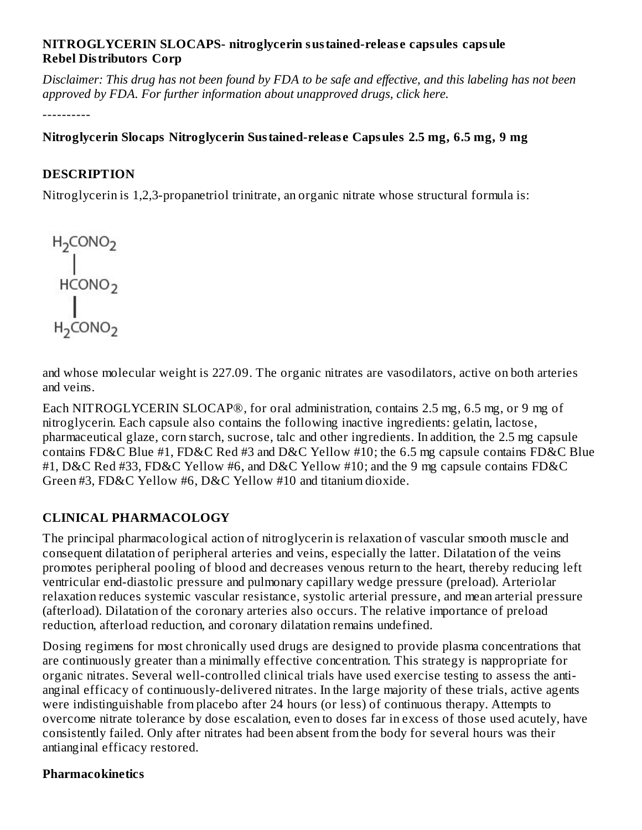#### **NITROGLYCERIN SLOCAPS- nitroglycerin sustained-releas e capsules capsule Rebel Distributors Corp**

Disclaimer: This drug has not been found by FDA to be safe and effective, and this labeling has not been *approved by FDA. For further information about unapproved drugs, click here.*

----------

**Nitroglycerin Slocaps Nitroglycerin Sustained-releas e Capsules 2.5 mg, 6.5 mg, 9 mg**

## **DESCRIPTION**

Nitroglycerin is 1,2,3-propanetriol trinitrate, an organic nitrate whose structural formula is:

$$
\begin{matrix}\nH_2CONO_2 \\
\parallel \\
HCONO_2 \\
\parallel \\
H_2CONO_2\n\end{matrix}
$$

and whose molecular weight is 227.09. The organic nitrates are vasodilators, active on both arteries and veins.

Each NITROGLYCERIN SLOCAP®, for oral administration, contains 2.5 mg, 6.5 mg, or 9 mg of nitroglycerin. Each capsule also contains the following inactive ingredients: gelatin, lactose, pharmaceutical glaze, corn starch, sucrose, talc and other ingredients. In addition, the 2.5 mg capsule contains FD&C Blue #1, FD&C Red #3 and D&C Yellow #10; the 6.5 mg capsule contains FD&C Blue #1, D&C Red #33, FD&C Yellow #6, and D&C Yellow #10; and the 9 mg capsule contains FD&C Green #3, FD&C Yellow #6, D&C Yellow #10 and titanium dioxide.

## **CLINICAL PHARMACOLOGY**

The principal pharmacological action of nitroglycerin is relaxation of vascular smooth muscle and consequent dilatation of peripheral arteries and veins, especially the latter. Dilatation of the veins promotes peripheral pooling of blood and decreases venous return to the heart, thereby reducing left ventricular end-diastolic pressure and pulmonary capillary wedge pressure (preload). Arteriolar relaxation reduces systemic vascular resistance, systolic arterial pressure, and mean arterial pressure (afterload). Dilatation of the coronary arteries also occurs. The relative importance of preload reduction, afterload reduction, and coronary dilatation remains undefined.

Dosing regimens for most chronically used drugs are designed to provide plasma concentrations that are continuously greater than a minimally effective concentration. This strategy is nappropriate for organic nitrates. Several well-controlled clinical trials have used exercise testing to assess the antianginal efficacy of continuously-delivered nitrates. In the large majority of these trials, active agents were indistinguishable from placebo after 24 hours (or less) of continuous therapy. Attempts to overcome nitrate tolerance by dose escalation, even to doses far in excess of those used acutely, have consistently failed. Only after nitrates had been absent from the body for several hours was their antianginal efficacy restored.

#### **Pharmacokinetics**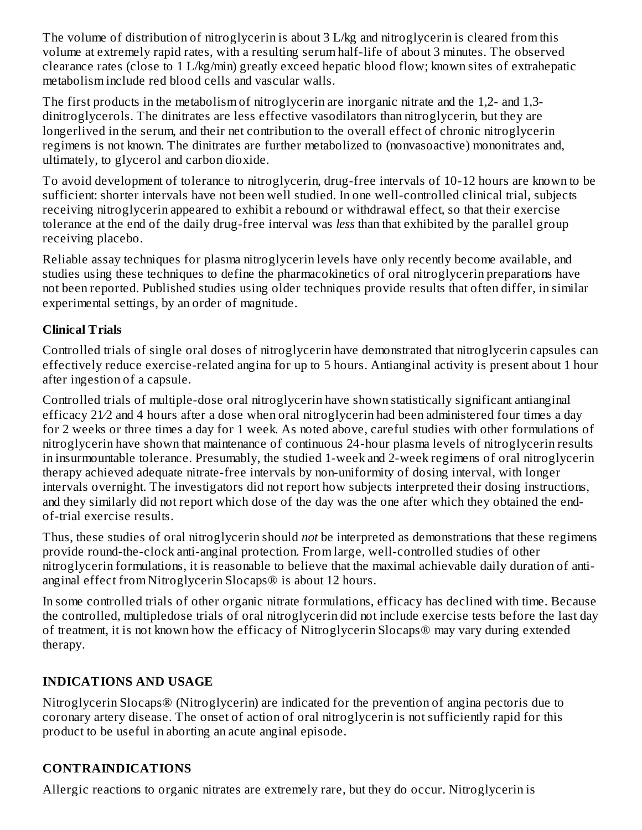The volume of distribution of nitroglycerin is about 3 L/kg and nitroglycerin is cleared from this volume at extremely rapid rates, with a resulting serum half-life of about 3 minutes. The observed clearance rates (close to 1 L/kg/min) greatly exceed hepatic blood flow; known sites of extrahepatic metabolism include red blood cells and vascular walls.

The first products in the metabolism of nitroglycerin are inorganic nitrate and the 1,2- and 1,3 dinitroglycerols. The dinitrates are less effective vasodilators than nitroglycerin, but they are longerlived in the serum, and their net contribution to the overall effect of chronic nitroglycerin regimens is not known. The dinitrates are further metabolized to (nonvasoactive) mononitrates and, ultimately, to glycerol and carbon dioxide.

To avoid development of tolerance to nitroglycerin, drug-free intervals of 10-12 hours are known to be sufficient: shorter intervals have not been well studied. In one well-controlled clinical trial, subjects receiving nitroglycerin appeared to exhibit a rebound or withdrawal effect, so that their exercise tolerance at the end of the daily drug-free interval was *less* than that exhibited by the parallel group receiving placebo.

Reliable assay techniques for plasma nitroglycerin levels have only recently become available, and studies using these techniques to define the pharmacokinetics of oral nitroglycerin preparations have not been reported. Published studies using older techniques provide results that often differ, in similar experimental settings, by an order of magnitude.

## **Clinical Trials**

Controlled trials of single oral doses of nitroglycerin have demonstrated that nitroglycerin capsules can effectively reduce exercise-related angina for up to 5 hours. Antianginal activity is present about 1 hour after ingestion of a capsule.

Controlled trials of multiple-dose oral nitroglycerin have shown statistically significant antianginal efficacy 21⁄2 and 4 hours after a dose when oral nitroglycerin had been administered four times a day for 2 weeks or three times a day for 1 week. As noted above, careful studies with other formulations of nitroglycerin have shown that maintenance of continuous 24-hour plasma levels of nitroglycerin results in insurmountable tolerance. Presumably, the studied 1-week and 2-week regimens of oral nitroglycerin therapy achieved adequate nitrate-free intervals by non-uniformity of dosing interval, with longer intervals overnight. The investigators did not report how subjects interpreted their dosing instructions, and they similarly did not report which dose of the day was the one after which they obtained the endof-trial exercise results.

Thus, these studies of oral nitroglycerin should *not* be interpreted as demonstrations that these regimens provide round-the-clock anti-anginal protection. From large, well-controlled studies of other nitroglycerin formulations, it is reasonable to believe that the maximal achievable daily duration of antianginal effect from Nitroglycerin Slocaps® is about 12 hours.

In some controlled trials of other organic nitrate formulations, efficacy has declined with time. Because the controlled, multipledose trials of oral nitroglycerin did not include exercise tests before the last day of treatment, it is not known how the efficacy of Nitroglycerin Slocaps® may vary during extended therapy.

## **INDICATIONS AND USAGE**

Nitroglycerin Slocaps® (Nitroglycerin) are indicated for the prevention of angina pectoris due to coronary artery disease. The onset of action of oral nitroglycerin is not sufficiently rapid for this product to be useful in aborting an acute anginal episode.

## **CONTRAINDICATIONS**

Allergic reactions to organic nitrates are extremely rare, but they do occur. Nitroglycerin is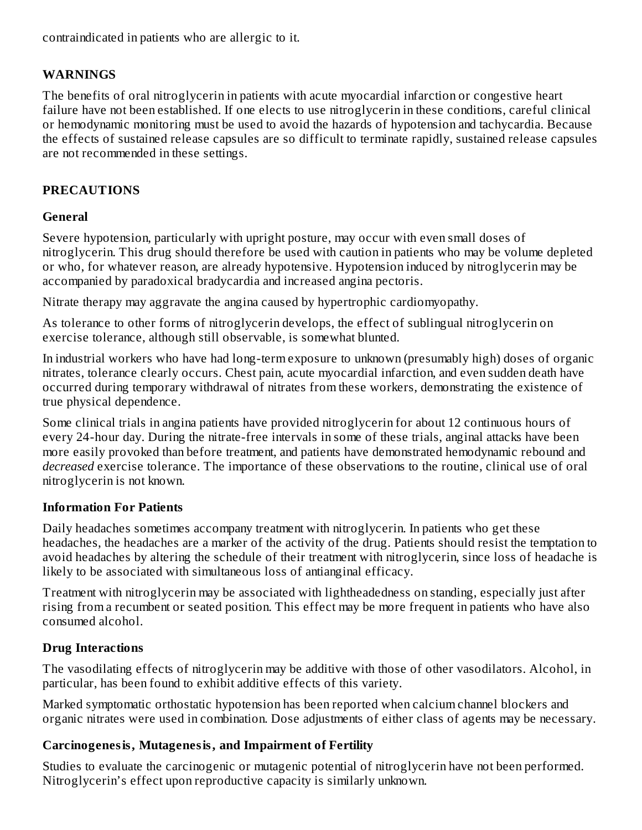contraindicated in patients who are allergic to it.

#### **WARNINGS**

The benefits of oral nitroglycerin in patients with acute myocardial infarction or congestive heart failure have not been established. If one elects to use nitroglycerin in these conditions, careful clinical or hemodynamic monitoring must be used to avoid the hazards of hypotension and tachycardia. Because the effects of sustained release capsules are so difficult to terminate rapidly, sustained release capsules are not recommended in these settings.

#### **PRECAUTIONS**

#### **General**

Severe hypotension, particularly with upright posture, may occur with even small doses of nitroglycerin. This drug should therefore be used with caution in patients who may be volume depleted or who, for whatever reason, are already hypotensive. Hypotension induced by nitroglycerin may be accompanied by paradoxical bradycardia and increased angina pectoris.

Nitrate therapy may aggravate the angina caused by hypertrophic cardiomyopathy.

As tolerance to other forms of nitroglycerin develops, the effect of sublingual nitroglycerin on exercise tolerance, although still observable, is somewhat blunted.

In industrial workers who have had long-term exposure to unknown (presumably high) doses of organic nitrates, tolerance clearly occurs. Chest pain, acute myocardial infarction, and even sudden death have occurred during temporary withdrawal of nitrates from these workers, demonstrating the existence of true physical dependence.

Some clinical trials in angina patients have provided nitroglycerin for about 12 continuous hours of every 24-hour day. During the nitrate-free intervals in some of these trials, anginal attacks have been more easily provoked than before treatment, and patients have demonstrated hemodynamic rebound and *decreased* exercise tolerance. The importance of these observations to the routine, clinical use of oral nitroglycerin is not known.

#### **Information For Patients**

Daily headaches sometimes accompany treatment with nitroglycerin. In patients who get these headaches, the headaches are a marker of the activity of the drug. Patients should resist the temptation to avoid headaches by altering the schedule of their treatment with nitroglycerin, since loss of headache is likely to be associated with simultaneous loss of antianginal efficacy.

Treatment with nitroglycerin may be associated with lightheadedness on standing, especially just after rising from a recumbent or seated position. This effect may be more frequent in patients who have also consumed alcohol.

#### **Drug Interactions**

The vasodilating effects of nitroglycerin may be additive with those of other vasodilators. Alcohol, in particular, has been found to exhibit additive effects of this variety.

Marked symptomatic orthostatic hypotension has been reported when calcium channel blockers and organic nitrates were used in combination. Dose adjustments of either class of agents may be necessary.

#### **Carcinogenesis, Mutagenesis, and Impairment of Fertility**

Studies to evaluate the carcinogenic or mutagenic potential of nitroglycerin have not been performed. Nitroglycerin's effect upon reproductive capacity is similarly unknown.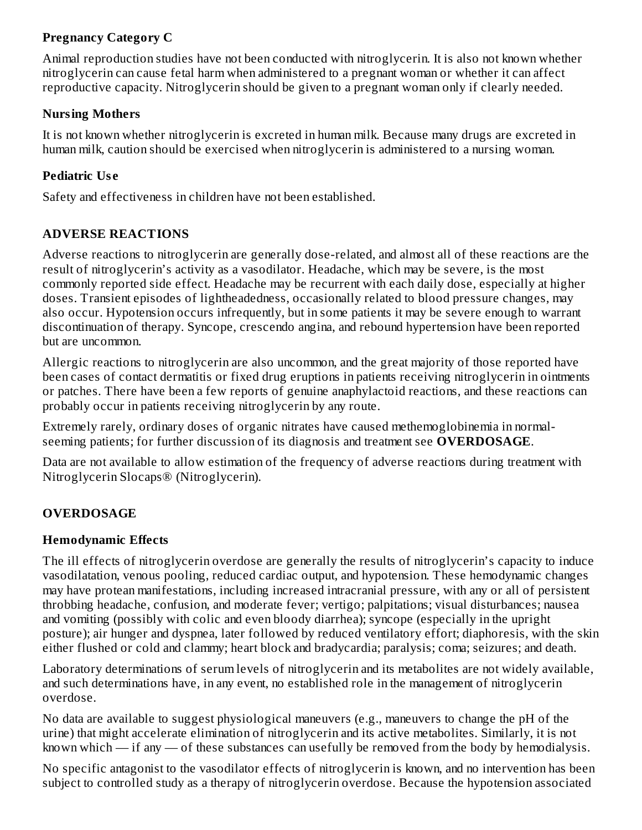## **Pregnancy Category C**

Animal reproduction studies have not been conducted with nitroglycerin. It is also not known whether nitroglycerin can cause fetal harm when administered to a pregnant woman or whether it can affect reproductive capacity. Nitroglycerin should be given to a pregnant woman only if clearly needed.

#### **Nursing Mothers**

It is not known whether nitroglycerin is excreted in human milk. Because many drugs are excreted in human milk, caution should be exercised when nitroglycerin is administered to a nursing woman.

#### **Pediatric Us e**

Safety and effectiveness in children have not been established.

## **ADVERSE REACTIONS**

Adverse reactions to nitroglycerin are generally dose-related, and almost all of these reactions are the result of nitroglycerin's activity as a vasodilator. Headache, which may be severe, is the most commonly reported side effect. Headache may be recurrent with each daily dose, especially at higher doses. Transient episodes of lightheadedness, occasionally related to blood pressure changes, may also occur. Hypotension occurs infrequently, but in some patients it may be severe enough to warrant discontinuation of therapy. Syncope, crescendo angina, and rebound hypertension have been reported but are uncommon.

Allergic reactions to nitroglycerin are also uncommon, and the great majority of those reported have been cases of contact dermatitis or fixed drug eruptions in patients receiving nitroglycerin in ointments or patches. There have been a few reports of genuine anaphylactoid reactions, and these reactions can probably occur in patients receiving nitroglycerin by any route.

Extremely rarely, ordinary doses of organic nitrates have caused methemoglobinemia in normalseeming patients; for further discussion of its diagnosis and treatment see **OVERDOSAGE**.

Data are not available to allow estimation of the frequency of adverse reactions during treatment with Nitroglycerin Slocaps® (Nitroglycerin).

## **OVERDOSAGE**

#### **Hemodynamic Effects**

The ill effects of nitroglycerin overdose are generally the results of nitroglycerin's capacity to induce vasodilatation, venous pooling, reduced cardiac output, and hypotension. These hemodynamic changes may have protean manifestations, including increased intracranial pressure, with any or all of persistent throbbing headache, confusion, and moderate fever; vertigo; palpitations; visual disturbances; nausea and vomiting (possibly with colic and even bloody diarrhea); syncope (especially in the upright posture); air hunger and dyspnea, later followed by reduced ventilatory effort; diaphoresis, with the skin either flushed or cold and clammy; heart block and bradycardia; paralysis; coma; seizures; and death.

Laboratory determinations of serum levels of nitroglycerin and its metabolites are not widely available, and such determinations have, in any event, no established role in the management of nitroglycerin overdose.

No data are available to suggest physiological maneuvers (e.g., maneuvers to change the pH of the urine) that might accelerate elimination of nitroglycerin and its active metabolites. Similarly, it is not known which — if any — of these substances can usefully be removed from the body by hemodialysis.

No specific antagonist to the vasodilator effects of nitroglycerin is known, and no intervention has been subject to controlled study as a therapy of nitroglycerin overdose. Because the hypotension associated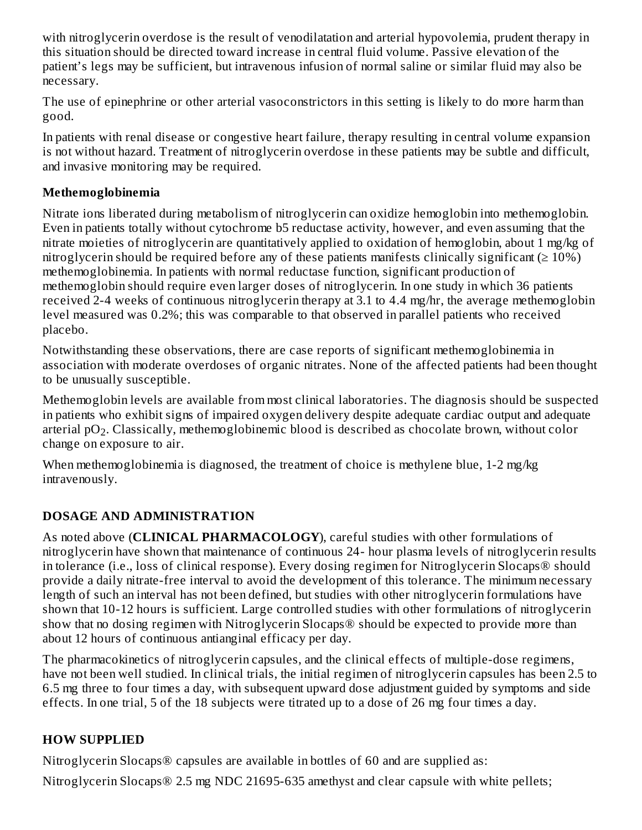with nitroglycerin overdose is the result of venodilatation and arterial hypovolemia, prudent therapy in this situation should be directed toward increase in central fluid volume. Passive elevation of the patient's legs may be sufficient, but intravenous infusion of normal saline or similar fluid may also be necessary.

The use of epinephrine or other arterial vasoconstrictors in this setting is likely to do more harm than good.

In patients with renal disease or congestive heart failure, therapy resulting in central volume expansion is not without hazard. Treatment of nitroglycerin overdose in these patients may be subtle and difficult, and invasive monitoring may be required.

## **Methemoglobinemia**

Nitrate ions liberated during metabolism of nitroglycerin can oxidize hemoglobin into methemoglobin. Even in patients totally without cytochrome b5 reductase activity, however, and even assuming that the nitrate moieties of nitroglycerin are quantitatively applied to oxidation of hemoglobin, about 1 mg/kg of nitroglycerin should be required before any of these patients manifests clinically significant ( $\geq 10\%$ ) methemoglobinemia. In patients with normal reductase function, significant production of methemoglobin should require even larger doses of nitroglycerin. In one study in which 36 patients received 2-4 weeks of continuous nitroglycerin therapy at 3.1 to 4.4 mg/hr, the average methemoglobin level measured was 0.2%; this was comparable to that observed in parallel patients who received placebo.

Notwithstanding these observations, there are case reports of significant methemoglobinemia in association with moderate overdoses of organic nitrates. None of the affected patients had been thought to be unusually susceptible.

Methemoglobin levels are available from most clinical laboratories. The diagnosis should be suspected in patients who exhibit signs of impaired oxygen delivery despite adequate cardiac output and adequate arterial pO $_2$ . Classically, methemoglobinemic blood is described as chocolate brown, without color change on exposure to air.

When methemoglobinemia is diagnosed, the treatment of choice is methylene blue, 1-2 mg/kg intravenously.

## **DOSAGE AND ADMINISTRATION**

As noted above (**CLINICAL PHARMACOLOGY**), careful studies with other formulations of nitroglycerin have shown that maintenance of continuous 24- hour plasma levels of nitroglycerin results in tolerance (i.e., loss of clinical response). Every dosing regimen for Nitroglycerin Slocaps® should provide a daily nitrate-free interval to avoid the development of this tolerance. The minimum necessary length of such an interval has not been defined, but studies with other nitroglycerin formulations have shown that 10-12 hours is sufficient. Large controlled studies with other formulations of nitroglycerin show that no dosing regimen with Nitroglycerin Slocaps® should be expected to provide more than about 12 hours of continuous antianginal efficacy per day.

The pharmacokinetics of nitroglycerin capsules, and the clinical effects of multiple-dose regimens, have not been well studied. In clinical trials, the initial regimen of nitroglycerin capsules has been 2.5 to 6.5 mg three to four times a day, with subsequent upward dose adjustment guided by symptoms and side effects. In one trial, 5 of the 18 subjects were titrated up to a dose of 26 mg four times a day.

## **HOW SUPPLIED**

Nitroglycerin Slocaps® capsules are available in bottles of 60 and are supplied as:

Nitroglycerin Slocaps® 2.5 mg NDC 21695-635 amethyst and clear capsule with white pellets;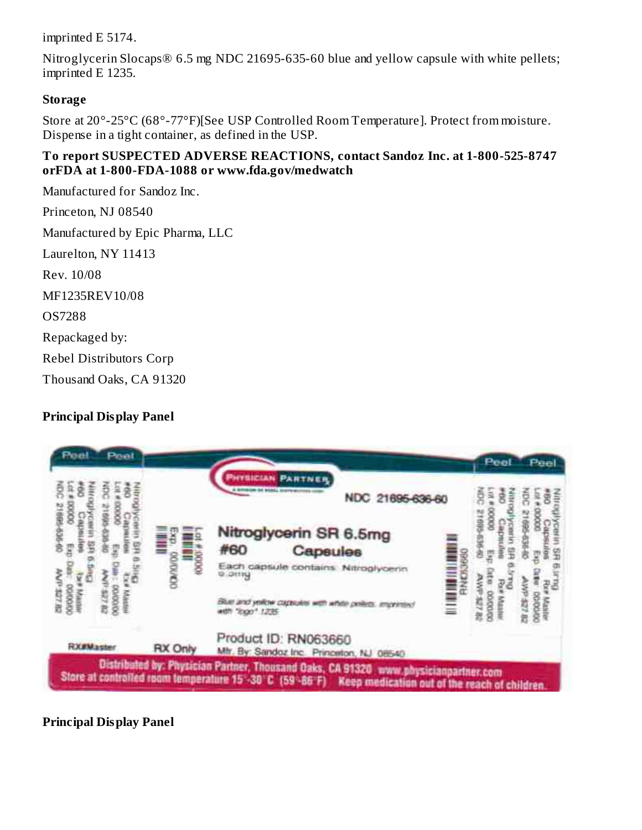imprinted E 5174.

Nitroglycerin Slocaps® 6.5 mg NDC 21695-635-60 blue and yellow capsule with white pellets; imprinted E 1235.

#### **Storage**

Store at 20°-25°C (68°-77°F)[See USP Controlled Room Temperature]. Protect from moisture. Dispense in a tight container, as defined in the USP.

#### **To report SUSPECTED ADVERSE REACTIONS, contact Sandoz Inc. at 1-800-525-8747 orFDA at 1-800-FDA-1088 or www.fda.gov/medwatch**

Manufactured for Sandoz Inc. Princeton, NJ 08540 Manufactured by Epic Pharma, LLC Laurelton, NY 11413 Rev. 10/08 MF1235REV10/08 OS7288 Repackaged by: Rebel Distributors Corp Thousand Oaks, CA 91320

## **Principal Display Panel**



**Principal Display Panel**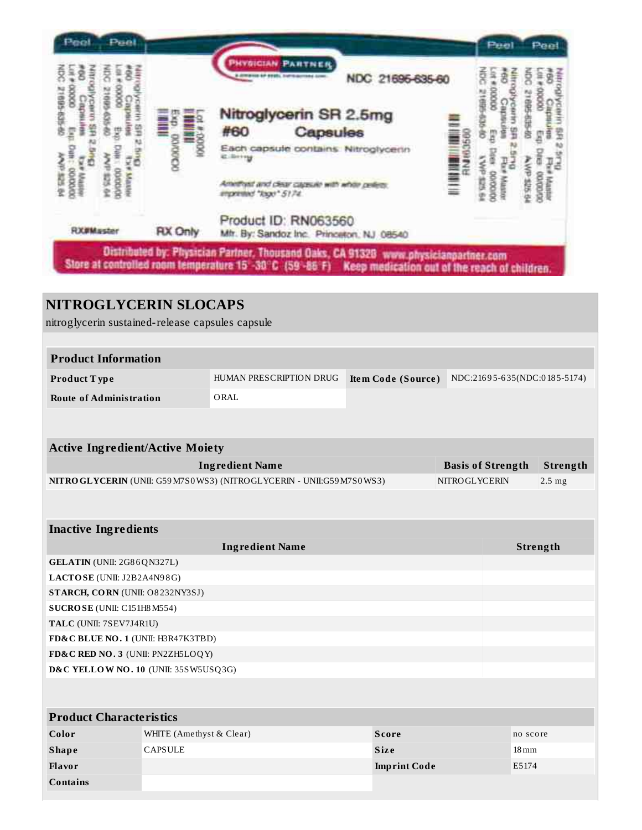

## **NITROGLYCERIN SLOCAPS** nitroglycerin sustained-release capsules capsule **Product Information Product T ype** HUMAN PRESCRIPTION DRUG **Ite m Code (Source )** NDC:216 9 5-6 35(NDC:0 18 5-5174) **Route of Administration** ORAL **Active Ingredient/Active Moiety Ingredient Name Basis of Strength Strength NITROGLYCERIN** (UNII: G59M7S0WS3) (NITROGLYCERIN - UNII:G59M7S0WS3) NITROGLYCERIN 2.5 mg **Inactive Ingredients Ingredient Name Strength GELATIN** (UNII: 2G8 6QN327L) **LACTOSE** (UNII: J2B2A4N9 8G) **STARCH, CORN** (UNII: O8 232NY3SJ) **SUCROSE** (UNII: C151H8M554) **TALC** (UNII: 7SEV7J4R1U) **FD&C BLUE NO. 1** (UNII: H3R47K3TBD) **FD&C RED NO. 3** (UNII: PN2ZH5LOQY) **D&C YELLOW NO. 10** (UNII: 35SW5USQ3G) **Product Characteristics Color WHITE** (Amethyst & Clear) **Score Score no** score **no** score **Shape** CAPSULE **Siz e** 18mm **Flavor Imprint Code** E5174 **Contains**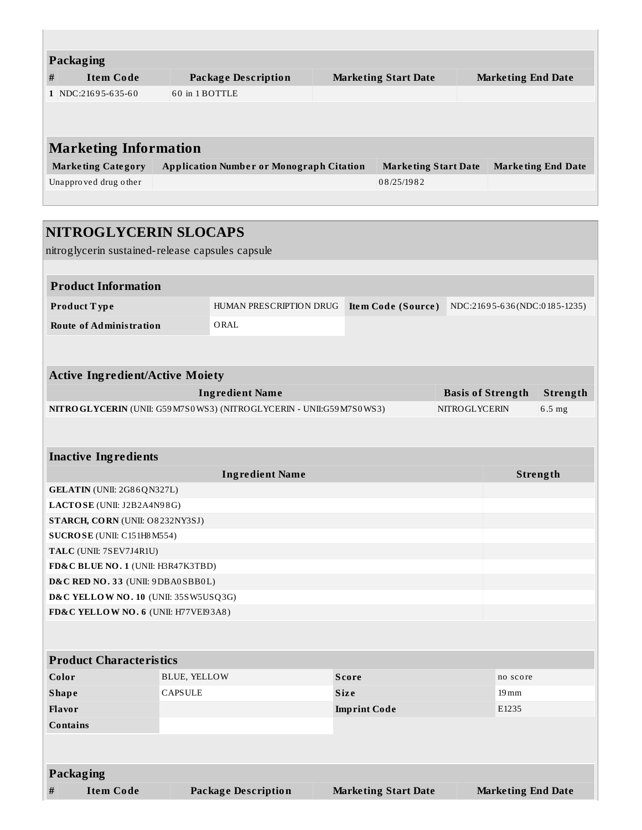| <b>Packaging</b>             |                           |                                                 |  |                             |  |                           |  |
|------------------------------|---------------------------|-------------------------------------------------|--|-----------------------------|--|---------------------------|--|
| #                            | <b>Item Code</b>          | <b>Package Description</b>                      |  | <b>Marketing Start Date</b> |  | <b>Marketing End Date</b> |  |
|                              | 1 NDC:21695-635-60        | 60 in 1 BOTTLE                                  |  |                             |  |                           |  |
|                              |                           |                                                 |  |                             |  |                           |  |
|                              |                           |                                                 |  |                             |  |                           |  |
| <b>Marketing Information</b> |                           |                                                 |  |                             |  |                           |  |
|                              | <b>Marketing Category</b> | <b>Application Number or Monograph Citation</b> |  | <b>Marketing Start Date</b> |  | <b>Marketing End Date</b> |  |
|                              | Unapproved drug other     |                                                 |  | 08/25/1982                  |  |                           |  |
|                              |                           |                                                 |  |                             |  |                           |  |

| NITROGLYCERIN SLOCAPS                            |                                                                          |                             |                          |                           |                              |  |
|--------------------------------------------------|--------------------------------------------------------------------------|-----------------------------|--------------------------|---------------------------|------------------------------|--|
| nitroglycerin sustained-release capsules capsule |                                                                          |                             |                          |                           |                              |  |
| <b>Product Information</b>                       |                                                                          |                             |                          |                           |                              |  |
| Product Type                                     | HUMAN PRESCRIPTION DRUG                                                  | Item Code (Source)          |                          |                           | NDC:21695-636(NDC:0185-1235) |  |
| <b>Route of Administration</b>                   | ORAL                                                                     |                             |                          |                           |                              |  |
|                                                  |                                                                          |                             |                          |                           |                              |  |
| <b>Active Ingredient/Active Moiety</b>           |                                                                          |                             |                          |                           |                              |  |
|                                                  | <b>Ingredient Name</b>                                                   |                             | <b>Basis of Strength</b> |                           | Strength                     |  |
|                                                  | NITRO GLYCERIN (UNII: G59 M7S0 WS3) (NITRO GLYCERIN - UNII:G59 M7S0 WS3) |                             | NITROGLYCERIN            |                           | 6.5 mg                       |  |
|                                                  |                                                                          |                             |                          |                           |                              |  |
|                                                  |                                                                          |                             |                          |                           |                              |  |
| <b>Inactive Ingredients</b>                      |                                                                          |                             |                          |                           |                              |  |
| <b>Ingredient Name</b>                           |                                                                          |                             |                          |                           | Strength                     |  |
| GELATIN (UNII: 2G86QN327L)                       |                                                                          |                             |                          |                           |                              |  |
| LACTOSE (UNII: J2B2A4N98G)                       |                                                                          |                             |                          |                           |                              |  |
| STARCH, CORN (UNII: O8232NY3SJ)                  |                                                                          |                             |                          |                           |                              |  |
| SUCROSE (UNII: C151H8M554)                       |                                                                          |                             |                          |                           |                              |  |
| TALC (UNII: 7SEV7J4R1U)                          |                                                                          |                             |                          |                           |                              |  |
| FD&C BLUE NO. 1 (UNII: H3R47K3TBD)               |                                                                          |                             |                          |                           |                              |  |
| D&C RED NO. 33 (UNII: 9DBA0SBB0L)                |                                                                          |                             |                          |                           |                              |  |
|                                                  | D&C YELLOW NO. 10 (UNII: 35SW5USQ3G)                                     |                             |                          |                           |                              |  |
| FD&C YELLOW NO. 6 (UNII: H77VEI93A8)             |                                                                          |                             |                          |                           |                              |  |
|                                                  |                                                                          |                             |                          |                           |                              |  |
|                                                  |                                                                          |                             |                          |                           |                              |  |
| <b>Product Characteristics</b>                   |                                                                          |                             |                          |                           |                              |  |
| Color                                            | <b>BLUE, YELLOW</b>                                                      | <b>Score</b>                |                          | no score                  |                              |  |
| <b>Shape</b>                                     | CAPSULE                                                                  | Size                        |                          | $19 \,\mathrm{mm}$        |                              |  |
| Flavor                                           |                                                                          | <b>Imprint Code</b>         |                          | E1235                     |                              |  |
| <b>Contains</b>                                  |                                                                          |                             |                          |                           |                              |  |
|                                                  |                                                                          |                             |                          |                           |                              |  |
|                                                  |                                                                          |                             |                          |                           |                              |  |
| Packaging                                        |                                                                          |                             |                          |                           |                              |  |
| <b>Item Code</b><br>$\#$                         | <b>Package Description</b>                                               | <b>Marketing Start Date</b> |                          | <b>Marketing End Date</b> |                              |  |